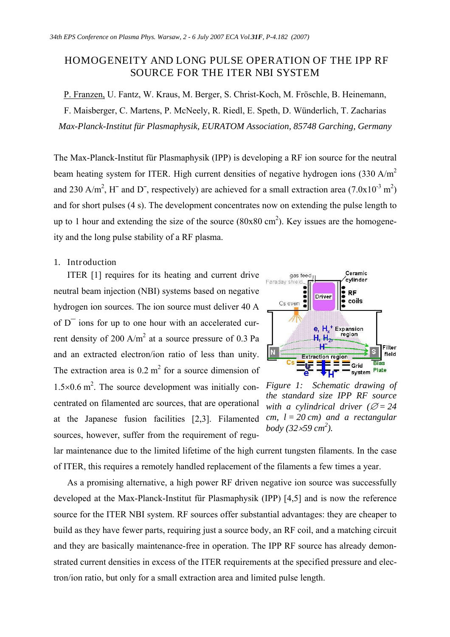## HOMOGENEITY AND LONG PULSE OPERATION OF THE IPP RF SOURCE FOR THE ITER NBI SYSTEM

P. Franzen, U. Fantz, W. Kraus, M. Berger, S. Christ-Koch, M. Fröschle, B. Heinemann, F. Maisberger, C. Martens, P. McNeely, R. Riedl, E. Speth, D. Wünderlich, T. Zacharias *Max-Planck-Institut für Plasmaphysik, EURATOM Association, 85748 Garching, Germany* 

The Max-Planck-Institut für Plasmaphysik (IPP) is developing a RF ion source for the neutral beam heating system for ITER. High current densities of negative hydrogen ions (330 A/m<sup>2</sup> and 230 A/m<sup>2</sup>, H<sup>-</sup> and D<sup>-</sup>, respectively) are achieved for a small extraction area (7.0x10<sup>-3</sup> m<sup>2</sup>) and for short pulses (4 s). The development concentrates now on extending the pulse length to up to 1 hour and extending the size of the source  $(80x80 \text{ cm}^2)$ . Key issues are the homogeneity and the long pulse stability of a RF plasma.

## 1. Introduction

ITER [1] requires for its heating and current drive neutral beam injection (NBI) systems based on negative hydrogen ion sources. The ion source must deliver 40 A of  $D<sup>-</sup>$  ions for up to one hour with an accelerated current density of 200 A/m<sup>2</sup> at a source pressure of 0.3 Pa and an extracted electron/ion ratio of less than unity. The extraction area is  $0.2 \text{ m}^2$  for a source dimension of 1.5×0.6 m<sup>2</sup>. The source development was initially con- Figure 1: Schematic drawing of centrated on filamented arc sources, that are operational at the Japanese fusion facilities [2,3]. Filamented sources, however, suffer from the requirement of regu-



*the standard size IPP RF source with a cylindrical driver* ( $\varnothing$  = 24 *cm, l = 20 cm) and a rectangular body (32*·*59 cm<sup>2</sup> ).* 

lar maintenance due to the limited lifetime of the high current tungsten filaments. In the case of ITER, this requires a remotely handled replacement of the filaments a few times a year.

As a promising alternative, a high power RF driven negative ion source was successfully developed at the Max-Planck-Institut für Plasmaphysik (IPP) [4,5] and is now the reference source for the ITER NBI system. RF sources offer substantial advantages: they are cheaper to build as they have fewer parts, requiring just a source body, an RF coil, and a matching circuit and they are basically maintenance-free in operation. The IPP RF source has already demonstrated current densities in excess of the ITER requirements at the specified pressure and electron/ion ratio, but only for a small extraction area and limited pulse length.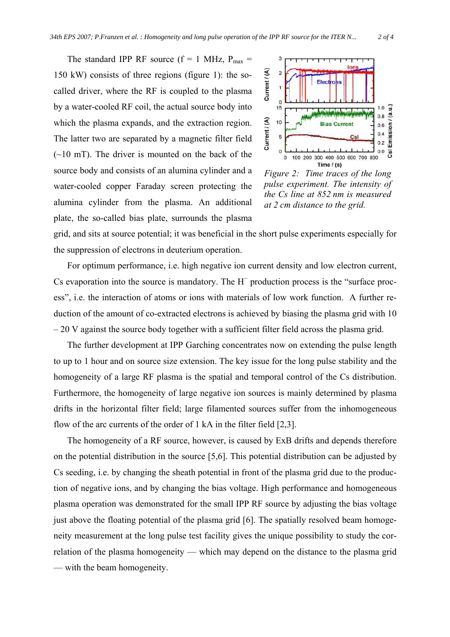The standard IPP RF source ( $f = 1$  MHz,  $P_{max} =$ 150 kW) consists of three regions (figure 1): the socalled driver, where the RF is coupled to the plasma by a water-cooled RF coil, the actual source body into which the plasma expands, and the extraction region. The latter two are separated by a magnetic filter field  $(-10 \text{ mT})$ . The driver is mounted on the back of the source body and consists of an alumina cylinder and a water-cooled copper Faraday screen protecting the alumina cylinder from the plasma. An additional plate, the so-called bias plate, surrounds the plasma



*Figure 2: Time traces of the long pulse experiment. The intensity of the Cs line at 852 nm is measured at 2 cm distance to the grid.* 

grid, and sits at source potential; it was beneficial in the short pulse experiments especially for the suppression of electrons in deuterium operation.

For optimum performance, i.e. high negative ion current density and low electron current, Cs evaporation into the source is mandatory. The  $H^-$  production process is the "surface process", i.e. the interaction of atoms or ions with materials of low work function. A further reduction of the amount of co-extracted electrons is achieved by biasing the plasma grid with 10 – 20 V against the source body together with a sufficient filter field across the plasma grid.

The further development at IPP Garching concentrates now on extending the pulse length to up to 1 hour and on source size extension. The key issue for the long pulse stability and the homogeneity of a large RF plasma is the spatial and temporal control of the Cs distribution. Furthermore, the homogeneity of large negative ion sources is mainly determined by plasma drifts in the horizontal filter field; large filamented sources suffer from the inhomogeneous flow of the arc currents of the order of 1 kA in the filter field [2,3].

The homogeneity of a RF source, however, is caused by ExB drifts and depends therefore on the potential distribution in the source [5,6]. This potential distribution can be adjusted by Cs seeding, i.e. by changing the sheath potential in front of the plasma grid due to the production of negative ions, and by changing the bias voltage. High performance and homogeneous plasma operation was demonstrated for the small IPP RF source by adjusting the bias voltage just above the floating potential of the plasma grid [6]. The spatially resolved beam homogeneity measurement at the long pulse test facility gives the unique possibility to study the correlation of the plasma homogeneity — which may depend on the distance to the plasma grid — with the beam homogeneity.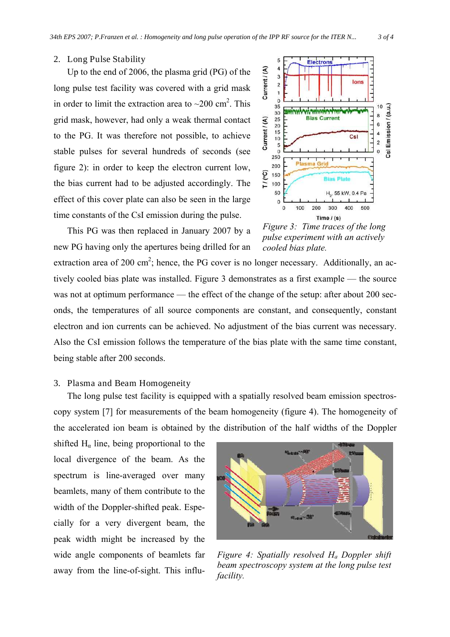## 2. Long Pulse Stability

Up to the end of 2006, the plasma grid (PG) of the long pulse test facility was covered with a grid mask in order to limit the extraction area to  $\sim$ 200 cm<sup>2</sup>. This grid mask, however, had only a weak thermal contact to the PG. It was therefore not possible, to achieve stable pulses for several hundreds of seconds (see figure 2): in order to keep the electron current low, the bias current had to be adjusted accordingly. The effect of this cover plate can also be seen in the large time constants of the CsI emission during the pulse.



This PG was then replaced in January 2007 by a new PG having only the apertures being drilled for an

*Figure 3: Time traces of the long pulse experiment with an actively cooled bias plate.* 

extraction area of 200 cm<sup>2</sup>; hence, the PG cover is no longer necessary. Additionally, an actively cooled bias plate was installed. Figure 3 demonstrates as a first example — the source was not at optimum performance — the effect of the change of the setup: after about 200 seconds, the temperatures of all source components are constant, and consequently, constant electron and ion currents can be achieved. No adjustment of the bias current was necessary. Also the CsI emission follows the temperature of the bias plate with the same time constant, being stable after 200 seconds.

## 3. Plasma and Beam Homogeneity

The long pulse test facility is equipped with a spatially resolved beam emission spectroscopy system [7] for measurements of the beam homogeneity (figure 4). The homogeneity of the accelerated ion beam is obtained by the distribution of the half widths of the Doppler

shifted  $H<sub>a</sub>$  line, being proportional to the local divergence of the beam. As the spectrum is line-averaged over many beamlets, many of them contribute to the width of the Doppler-shifted peak. Especially for a very divergent beam, the peak width might be increased by the wide angle components of beamlets far away from the line-of-sight. This influ-



*Figure 4: Spatially resolved Ha Doppler shift beam spectroscopy system at the long pulse test facility.*